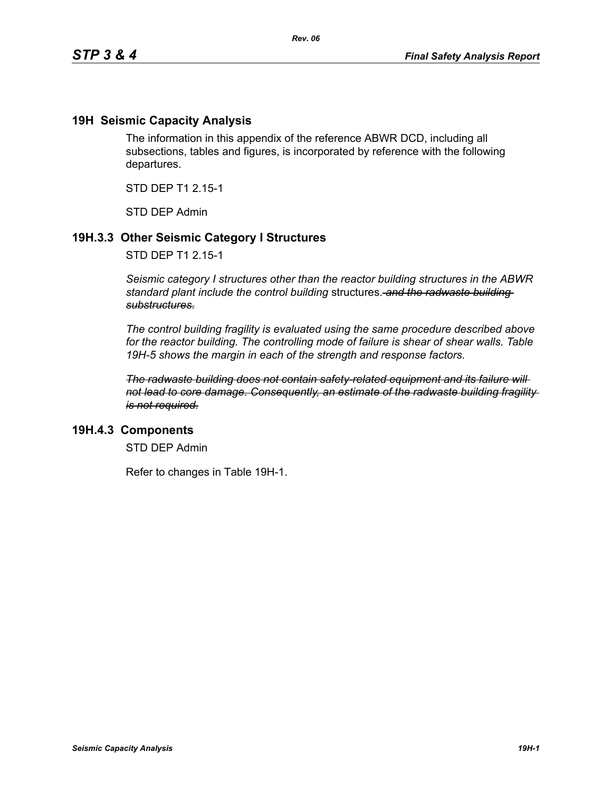### **19H Seismic Capacity Analysis**

The information in this appendix of the reference ABWR DCD, including all subsections, tables and figures, is incorporated by reference with the following departures.

STD DEP T1 2.15-1

STD DEP Admin

## **19H.3.3 Other Seismic Category I Structures**

STD DEP T1 2.15-1

*Seismic category I structures other than the reactor building structures in the ABWR standard plant include the control building* structures. *and the radwaste building substructures.*

*The control building fragility is evaluated using the same procedure described above for the reactor building. The controlling mode of failure is shear of shear walls. Table 19H-5 shows the margin in each of the strength and response factors.*

*The radwaste building does not contain safety-related equipment and its failure will not lead to core damage. Consequently, an estimate of the radwaste building fragility is not required.*

### **19H.4.3 Components**

STD DEP Admin

Refer to changes in Table 19H-1.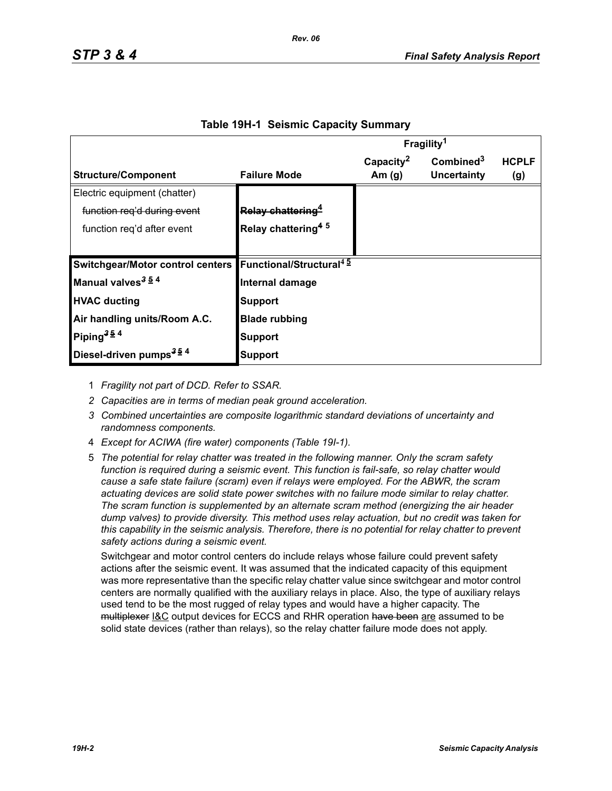|                                                                      |                                | Fragility <sup>1</sup> |                       |              |
|----------------------------------------------------------------------|--------------------------------|------------------------|-----------------------|--------------|
|                                                                      |                                | Capacity <sup>2</sup>  | Combined <sup>3</sup> | <b>HCPLF</b> |
| <b>Structure/Component</b>                                           | <b>Failure Mode</b>            | Am $(g)$               | Uncertainty           | (g)          |
| Electric equipment (chatter)                                         |                                |                        |                       |              |
| function reg'd during event                                          | Relay chattering <sup>4</sup>  |                        |                       |              |
| function reg'd after event                                           | Relay chattering <sup>45</sup> |                        |                       |              |
|                                                                      |                                |                        |                       |              |
| Switchgear/Motor control centers Functional/Structural <sup>45</sup> |                                |                        |                       |              |
| Manual valves <sup>3 54</sup>                                        | Internal damage                |                        |                       |              |
| <b>HVAC ducting</b>                                                  | <b>Support</b>                 |                        |                       |              |
| Air handling units/Room A.C.                                         | <b>Blade rubbing</b>           |                        |                       |              |
| Piping <sup>354</sup>                                                | Support                        |                        |                       |              |
| Diesel-driven pumps <sup>354</sup>                                   | Support                        |                        |                       |              |

#### **Table 19H-1 Seismic Capacity Summary**

1 *Fragility not part of DCD. Refer to SSAR.*

- *2 Capacities are in terms of median peak ground acceleration.*
- *3 Combined uncertainties are composite logarithmic standard deviations of uncertainty and randomness components.*
- 4 *Except for ACIWA (fire water) components (Table 19I-1).*
- 5 *The potential for relay chatter was treated in the following manner. Only the scram safety function is required during a seismic event. This function is fail-safe, so relay chatter would cause a safe state failure (scram) even if relays were employed. For the ABWR, the scram actuating devices are solid state power switches with no failure mode similar to relay chatter. The scram function is supplemented by an alternate scram method (energizing the air header dump valves) to provide diversity. This method uses relay actuation, but no credit was taken for this capability in the seismic analysis. Therefore, there is no potential for relay chatter to prevent safety actions during a seismic event.*

Switchgear and motor control centers do include relays whose failure could prevent safety actions after the seismic event. It was assumed that the indicated capacity of this equipment was more representative than the specific relay chatter value since switchgear and motor control centers are normally qualified with the auxiliary relays in place. Also, the type of auxiliary relays used tend to be the most rugged of relay types and would have a higher capacity. The multiplexer I&C output devices for ECCS and RHR operation have been are assumed to be solid state devices (rather than relays), so the relay chatter failure mode does not apply.